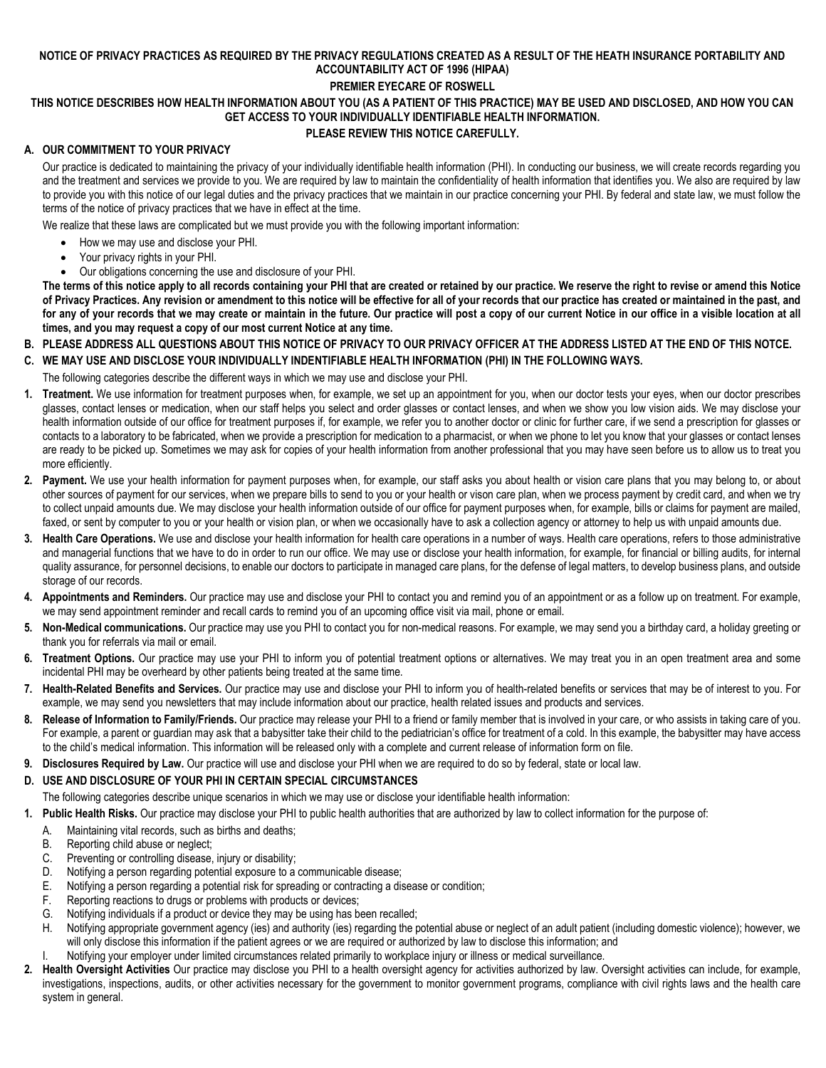# NOTICE OF PRIVACY PRACTICES AS REQUIRED BY THE PRIVACY REGULATIONS CREATED AS A RESULT OF THE HEATH INSURANCE PORTABILITY AND ACCOUNTABILITY ACT OF 1996 (HIPAA)

## PREMIER EYECARE OF ROSWELL

# THIS NOTICE DESCRIBES HOW HEALTH INFORMATION ABOUT YOU (AS A PATIENT OF THIS PRACTICE) MAY BE USED AND DISCLOSED, AND HOW YOU CAN GET ACCESS TO YOUR INDIVIDUALLY IDENTIFIABLE HEALTH INFORMATION.

## PLEASE REVIEW THIS NOTICE CAREFULLY.

### A. OUR COMMITMENT TO YOUR PRIVACY

Our practice is dedicated to maintaining the privacy of your individually identifiable health information (PHI). In conducting our business, we will create records regarding you and the treatment and services we provide to you. We are required by law to maintain the confidentiality of health information that identifies you. We also are required by law to provide you with this notice of our legal duties and the privacy practices that we maintain in our practice concerning your PHI. By federal and state law, we must follow the terms of the notice of privacy practices that we have in effect at the time.

We realize that these laws are complicated but we must provide you with the following important information:

- How we may use and disclose your PHI.
- Your privacy rights in your PHI.
- Our obligations concerning the use and disclosure of your PHI.

The terms of this notice apply to all records containing your PHI that are created or retained by our practice. We reserve the right to revise or amend this Notice of Privacy Practices. Any revision or amendment to this notice will be effective for all of your records that our practice has created or maintained in the past, and for any of your records that we may create or maintain in the future. Our practice will post a copy of our current Notice in our office in a visible location at all times, and you may request a copy of our most current Notice at any time.

- B. PLEASE ADDRESS ALL QUESTIONS ABOUT THIS NOTICE OF PRIVACY TO OUR PRIVACY OFFICER AT THE ADDRESS LISTED AT THE END OF THIS NOTCE.
- C. WE MAY USE AND DISCLOSE YOUR INDIVIDUALLY INDENTIFIABLE HEALTH INFORMATION (PHI) IN THE FOLLOWING WAYS.

The following categories describe the different ways in which we may use and disclose your PHI.

- 1. Treatment. We use information for treatment purposes when, for example, we set up an appointment for you, when our doctor tests your eyes, when our doctor prescribes glasses, contact lenses or medication, when our staff helps you select and order glasses or contact lenses, and when we show you low vision aids. We may disclose your health information outside of our office for treatment purposes if, for example, we refer you to another doctor or clinic for further care, if we send a prescription for glasses or contacts to a laboratory to be fabricated, when we provide a prescription for medication to a pharmacist, or when we phone to let you know that your glasses or contact lenses are ready to be picked up. Sometimes we may ask for copies of your health information from another professional that you may have seen before us to allow us to treat you more efficiently.
- 2. Payment. We use your health information for payment purposes when, for example, our staff asks you about health or vision care plans that you may belong to, or about other sources of payment for our services, when we prepare bills to send to you or your health or vison care plan, when we process payment by credit card, and when we try to collect unpaid amounts due. We may disclose your health information outside of our office for payment purposes when, for example, bills or claims for payment are mailed, faxed, or sent by computer to you or your health or vision plan, or when we occasionally have to ask a collection agency or attorney to help us with unpaid amounts due.
- 3. Health Care Operations. We use and disclose your health information for health care operations in a number of ways. Health care operations, refers to those administrative and managerial functions that we have to do in order to run our office. We may use or disclose your health information, for example, for financial or billing audits, for internal quality assurance, for personnel decisions, to enable our doctors to participate in managed care plans, for the defense of legal matters, to develop business plans, and outside storage of our records.
- 4. Appointments and Reminders. Our practice may use and disclose your PHI to contact you and remind you of an appointment or as a follow up on treatment. For example, we may send appointment reminder and recall cards to remind you of an upcoming office visit via mail, phone or email.
- 5. Non-Medical communications. Our practice may use you PHI to contact you for non-medical reasons. For example, we may send you a birthday card, a holiday greeting or thank you for referrals via mail or email.
- 6. Treatment Options. Our practice may use your PHI to inform you of potential treatment options or alternatives. We may treat you in an open treatment area and some incidental PHI may be overheard by other patients being treated at the same time.
- 7. Health-Related Benefits and Services. Our practice may use and disclose your PHI to inform you of health-related benefits or services that may be of interest to you. For example, we may send you newsletters that may include information about our practice, health related issues and products and services.
- 8. Release of Information to Family/Friends. Our practice may release your PHI to a friend or family member that is involved in your care, or who assists in taking care of you. For example, a parent or guardian may ask that a babysitter take their child to the pediatrician's office for treatment of a cold. In this example, the babysitter may have access to the child's medical information. This information will be released only with a complete and current release of information form on file.
- 9. Disclosures Required by Law. Our practice will use and disclose your PHI when we are required to do so by federal, state or local law.

### D. USE AND DISCLOSURE OF YOUR PHI IN CERTAIN SPECIAL CIRCUMSTANCES

- The following categories describe unique scenarios in which we may use or disclose your identifiable health information:
- 1. Public Health Risks. Our practice may disclose your PHI to public health authorities that are authorized by law to collect information for the purpose of:
	- A. Maintaining vital records, such as births and deaths;
	- B. Reporting child abuse or neglect;
	- C. Preventing or controlling disease, injury or disability;
	- D. Notifying a person regarding potential exposure to a communicable disease;
	- E. Notifying a person regarding a potential risk for spreading or contracting a disease or condition;
	- F. Reporting reactions to drugs or problems with products or devices;
	- G. Notifying individuals if a product or device they may be using has been recalled;
	- H. Notifying appropriate government agency (ies) and authority (ies) regarding the potential abuse or neglect of an adult patient (including domestic violence); however, we will only disclose this information if the patient agrees or we are required or authorized by law to disclose this information; and
	- I. Notifying your employer under limited circumstances related primarily to workplace injury or illness or medical surveillance.
- 2. Health Oversight Activities Our practice may disclose you PHI to a health oversight agency for activities authorized by law. Oversight activities can include, for example, investigations, inspections, audits, or other activities necessary for the government to monitor government programs, compliance with civil rights laws and the health care system in general.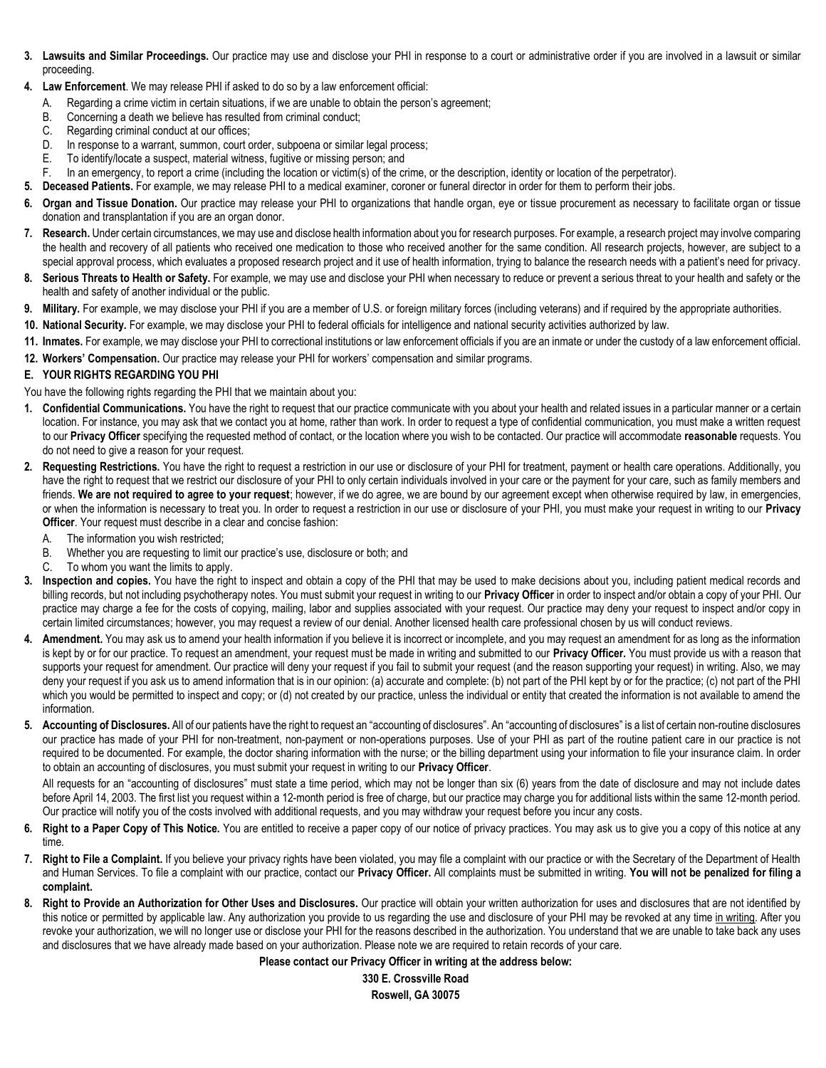- 3. Lawsuits and Similar Proceedings. Our practice may use and disclose your PHI in response to a court or administrative order if you are involved in a lawsuit or similar proceeding.
- 4. Law Enforcement. We may release PHI if asked to do so by a law enforcement official:
	- Regarding a crime victim in certain situations, if we are unable to obtain the person's agreement;
	- B. Concerning a death we believe has resulted from criminal conduct;
	- C. Regarding criminal conduct at our offices;<br>D. In response to a warrant, summon, court of
	- In response to a warrant, summon, court order, subpoena or similar legal process;
	- E. To identify/locate a suspect, material witness, fugitive or missing person; and
- F. In an emergency, to report a crime (including the location or victim(s) of the crime, or the description, identity or location of the perpetrator).
- 5. Deceased Patients. For example, we may release PHI to a medical examiner, coroner or funeral director in order for them to perform their jobs.
- 6. Organ and Tissue Donation. Our practice may release your PHI to organizations that handle organ, eye or tissue procurement as necessary to facilitate organ or tissue donation and transplantation if you are an organ donor.
- 7. Research. Under certain circumstances, we may use and disclose health information about you for research purposes. For example, a research project may involve comparing the health and recovery of all patients who received one medication to those who received another for the same condition. All research projects, however, are subject to a special approval process, which evaluates a proposed research project and it use of health information, trying to balance the research needs with a patient's need for privacy.
- 8. Serious Threats to Health or Safety. For example, we may use and disclose your PHI when necessary to reduce or prevent a serious threat to your health and safety or the health and safety of another individual or the public.
- 9. Military. For example, we may disclose your PHI if you are a member of U.S. or foreign military forces (including veterans) and if required by the appropriate authorities.
- 10. National Security. For example, we may disclose your PHI to federal officials for intelligence and national security activities authorized by law.
- 11. Inmates. For example, we may disclose your PHI to correctional institutions or law enforcement officials if you are an inmate or under the custody of a law enforcement official.
- 12. Workers' Compensation. Our practice may release your PHI for workers' compensation and similar programs.

### E. YOUR RIGHTS REGARDING YOU PHI

You have the following rights regarding the PHI that we maintain about you:

- 1. Confidential Communications. You have the right to request that our practice communicate with you about your health and related issues in a particular manner or a certain location. For instance, you may ask that we contact you at home, rather than work. In order to request a type of confidential communication, you must make a written request to our Privacy Officer specifying the requested method of contact, or the location where you wish to be contacted. Our practice will accommodate reasonable requests. You do not need to give a reason for your request.
- 2. Requesting Restrictions. You have the right to request a restriction in our use or disclosure of your PHI for treatment, payment or health care operations. Additionally, you have the right to request that we restrict our disclosure of your PHI to only certain individuals involved in your care or the payment for your care, such as family members and friends. We are not required to agree to your request; however, if we do agree, we are bound by our agreement except when otherwise required by law, in emergencies, or when the information is necessary to treat you. In order to request a restriction in our use or disclosure of your PHI, you must make your request in writing to our Privacy Officer. Your request must describe in a clear and concise fashion:
	- A. The information you wish restricted;
	- B. Whether you are requesting to limit our practice's use, disclosure or both; and
	- C. To whom you want the limits to apply.
- 3. Inspection and copies. You have the right to inspect and obtain a copy of the PHI that may be used to make decisions about you, including patient medical records and billing records, but not including psychotherapy notes. You must submit your request in writing to our **Privacy Officer** in order to inspect and/or obtain a copy of your PHI. Our practice may charge a fee for the costs of copying, mailing, labor and supplies associated with your request. Our practice may deny your request to inspect and/or copy in certain limited circumstances; however, you may request a review of our denial. Another licensed health care professional chosen by us will conduct reviews.
- 4. Amendment. You may ask us to amend your health information if you believe it is incorrect or incomplete, and you may request an amendment for as long as the information is kept by or for our practice. To request an amendment, your request must be made in writing and submitted to our Privacy Officer. You must provide us with a reason that supports your request for amendment. Our practice will deny your request if you fail to submit your request (and the reason supporting your request) in writing. Also, we may deny your request if you ask us to amend information that is in our opinion: (a) accurate and complete: (b) not part of the PHI kept by or for the practice; (c) not part of the PHI which you would be permitted to inspect and copy; or (d) not created by our practice, unless the individual or entity that created the information is not available to amend the information.
- 5. Accounting of Disclosures. All of our patients have the right to request an "accounting of disclosures". An "accounting of disclosures" is a list of certain non-routine disclosures our practice has made of your PHI for non-treatment, non-payment or non-operations purposes. Use of your PHI as part of the routine patient care in our practice is not required to be documented. For example, the doctor sharing information with the nurse; or the billing department using your information to file your insurance claim. In order to obtain an accounting of disclosures, you must submit your request in writing to our Privacy Officer.

All requests for an "accounting of disclosures" must state a time period, which may not be longer than six (6) years from the date of disclosure and may not include dates before April 14, 2003. The first list you request within a 12-month period is free of charge, but our practice may charge you for additional lists within the same 12-month period. Our practice will notify you of the costs involved with additional requests, and you may withdraw your request before you incur any costs.

- 6. Right to a Paper Copy of This Notice. You are entitled to receive a paper copy of our notice of privacy practices. You may ask us to give you a copy of this notice at any time.
- 7. Right to File a Complaint. If you believe your privacy rights have been violated, you may file a complaint with our practice or with the Secretary of the Department of Health and Human Services. To file a complaint with our practice, contact our Privacy Officer. All complaints must be submitted in writing. You will not be penalized for filing a complaint.
- 8. Right to Provide an Authorization for Other Uses and Disclosures. Our practice will obtain your written authorization for uses and disclosures that are not identified by this notice or permitted by applicable law. Any authorization you provide to us regarding the use and disclosure of your PHI may be revoked at any time in writing. After you revoke your authorization, we will no longer use or disclose your PHI for the reasons described in the authorization. You understand that we are unable to take back any uses and disclosures that we have already made based on your authorization. Please note we are required to retain records of your care.

Please contact our Privacy Officer in writing at the address below:

330 E. Crossville Road Roswell, GA 30075